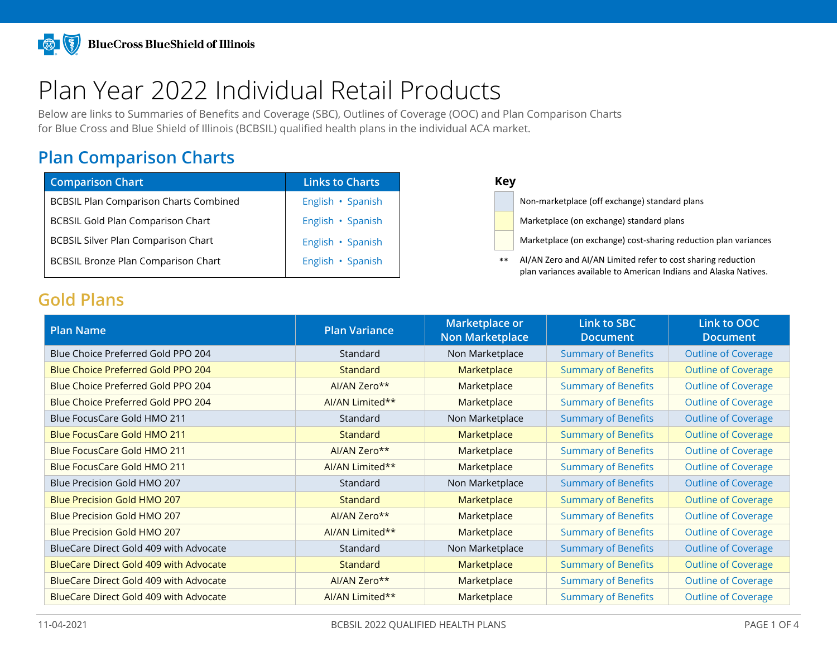# Plan Year 2022 Individual Retail Products

Below are links to Summaries of Benefits and Coverage (SBC), Outlines of Coverage (OOC) and Plan Comparison Charts for Blue Cross and Blue Shield of Illinois (BCBSIL) qualified health plans in the individual ACA market.

# **Plan Comparison Charts**

| <b>Links to Charts</b> |
|------------------------|
| English · Spanish      |
| English · Spanish      |
| English · Spanish      |
| English · Spanish      |
|                        |

Non-marketplace (off exchange) standard plans

Marketplace (on exchange) standard plans

BCBSIL Silver Plan Comparison Chart Englisher Marketplace (on exchange) cost-sharing reduction plan variances

\*\* AI/AN Zero and AI/AN Limited refer to cost sharing reduction plan variances available to American Indians and Alaska Natives.

#### **Gold Plans**

| <b>Plan Name</b>                              | <b>Plan Variance</b> | Marketplace or<br><b>Non Marketplace</b> | Link to SBC<br><b>Document</b> | Link to OOC<br><b>Document</b> |
|-----------------------------------------------|----------------------|------------------------------------------|--------------------------------|--------------------------------|
| Blue Choice Preferred Gold PPO 204            | Standard             | Non Marketplace                          | <b>Summary of Benefits</b>     | <b>Outline of Coverage</b>     |
| Blue Choice Preferred Gold PPO 204            | <b>Standard</b>      | Marketplace                              | <b>Summary of Benefits</b>     | <b>Outline of Coverage</b>     |
| Blue Choice Preferred Gold PPO 204            | AI/AN Zero**         | Marketplace                              | <b>Summary of Benefits</b>     | <b>Outline of Coverage</b>     |
| Blue Choice Preferred Gold PPO 204            | AI/AN Limited**      | Marketplace                              | <b>Summary of Benefits</b>     | <b>Outline of Coverage</b>     |
| Blue FocusCare Gold HMO 211                   | Standard             | Non Marketplace                          | <b>Summary of Benefits</b>     | <b>Outline of Coverage</b>     |
| <b>Blue FocusCare Gold HMO 211</b>            | Standard             | Marketplace                              | <b>Summary of Benefits</b>     | <b>Outline of Coverage</b>     |
| Blue FocusCare Gold HMO 211                   | AI/AN Zero**         | Marketplace                              | <b>Summary of Benefits</b>     | <b>Outline of Coverage</b>     |
| Blue FocusCare Gold HMO 211                   | AI/AN Limited**      | Marketplace                              | <b>Summary of Benefits</b>     | <b>Outline of Coverage</b>     |
| Blue Precision Gold HMO 207                   | Standard             | Non Marketplace                          | <b>Summary of Benefits</b>     | <b>Outline of Coverage</b>     |
| <b>Blue Precision Gold HMO 207</b>            | Standard             | Marketplace                              | <b>Summary of Benefits</b>     | <b>Outline of Coverage</b>     |
| <b>Blue Precision Gold HMO 207</b>            | AI/AN Zero**         | Marketplace                              | <b>Summary of Benefits</b>     | <b>Outline of Coverage</b>     |
| Blue Precision Gold HMO 207                   | AI/AN Limited**      | Marketplace                              | <b>Summary of Benefits</b>     | <b>Outline of Coverage</b>     |
| BlueCare Direct Gold 409 with Advocate        | Standard             | Non Marketplace                          | <b>Summary of Benefits</b>     | <b>Outline of Coverage</b>     |
| <b>BlueCare Direct Gold 409 with Advocate</b> | <b>Standard</b>      | Marketplace                              | <b>Summary of Benefits</b>     | <b>Outline of Coverage</b>     |
| BlueCare Direct Gold 409 with Advocate        | AI/AN Zero**         | Marketplace                              | <b>Summary of Benefits</b>     | <b>Outline of Coverage</b>     |
| BlueCare Direct Gold 409 with Advocate        | AI/AN Limited**      | Marketplace                              | <b>Summary of Benefits</b>     | <b>Outline of Coverage</b>     |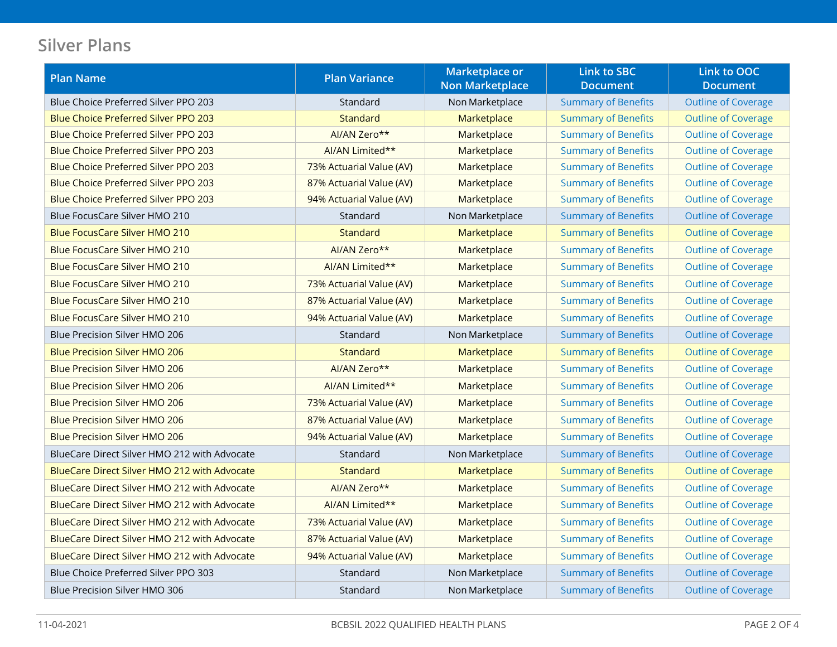# **Silver Plans**

| <b>Plan Name</b>                             | <b>Plan Variance</b>     | <b>Marketplace or</b>  | <b>Link to SBC</b>         | Link to OOC                |
|----------------------------------------------|--------------------------|------------------------|----------------------------|----------------------------|
|                                              |                          | <b>Non Marketplace</b> | <b>Document</b>            | <b>Document</b>            |
| Blue Choice Preferred Silver PPO 203         | Standard                 | Non Marketplace        | <b>Summary of Benefits</b> | <b>Outline of Coverage</b> |
| <b>Blue Choice Preferred Silver PPO 203</b>  | <b>Standard</b>          | Marketplace            | <b>Summary of Benefits</b> | <b>Outline of Coverage</b> |
| <b>Blue Choice Preferred Silver PPO 203</b>  | AI/AN Zero**             | Marketplace            | <b>Summary of Benefits</b> | <b>Outline of Coverage</b> |
| Blue Choice Preferred Silver PPO 203         | AI/AN Limited**          | Marketplace            | <b>Summary of Benefits</b> | <b>Outline of Coverage</b> |
| <b>Blue Choice Preferred Silver PPO 203</b>  | 73% Actuarial Value (AV) | Marketplace            | <b>Summary of Benefits</b> | <b>Outline of Coverage</b> |
| Blue Choice Preferred Silver PPO 203         | 87% Actuarial Value (AV) | Marketplace            | <b>Summary of Benefits</b> | <b>Outline of Coverage</b> |
| <b>Blue Choice Preferred Silver PPO 203</b>  | 94% Actuarial Value (AV) | Marketplace            | <b>Summary of Benefits</b> | <b>Outline of Coverage</b> |
| Blue FocusCare Silver HMO 210                | Standard                 | Non Marketplace        | <b>Summary of Benefits</b> | <b>Outline of Coverage</b> |
| <b>Blue FocusCare Silver HMO 210</b>         | <b>Standard</b>          | Marketplace            | <b>Summary of Benefits</b> | <b>Outline of Coverage</b> |
| Blue FocusCare Silver HMO 210                | AI/AN Zero**             | Marketplace            | <b>Summary of Benefits</b> | <b>Outline of Coverage</b> |
| <b>Blue FocusCare Silver HMO 210</b>         | AI/AN Limited**          | Marketplace            | <b>Summary of Benefits</b> | <b>Outline of Coverage</b> |
| Blue FocusCare Silver HMO 210                | 73% Actuarial Value (AV) | Marketplace            | <b>Summary of Benefits</b> | <b>Outline of Coverage</b> |
| <b>Blue FocusCare Silver HMO 210</b>         | 87% Actuarial Value (AV) | Marketplace            | <b>Summary of Benefits</b> | <b>Outline of Coverage</b> |
| <b>Blue FocusCare Silver HMO 210</b>         | 94% Actuarial Value (AV) | Marketplace            | <b>Summary of Benefits</b> | <b>Outline of Coverage</b> |
| Blue Precision Silver HMO 206                | Standard                 | Non Marketplace        | <b>Summary of Benefits</b> | <b>Outline of Coverage</b> |
| <b>Blue Precision Silver HMO 206</b>         | Standard                 | Marketplace            | <b>Summary of Benefits</b> | <b>Outline of Coverage</b> |
| <b>Blue Precision Silver HMO 206</b>         | AI/AN Zero**             | Marketplace            | <b>Summary of Benefits</b> | <b>Outline of Coverage</b> |
| <b>Blue Precision Silver HMO 206</b>         | AI/AN Limited**          | Marketplace            | <b>Summary of Benefits</b> | <b>Outline of Coverage</b> |
| <b>Blue Precision Silver HMO 206</b>         | 73% Actuarial Value (AV) | Marketplace            | <b>Summary of Benefits</b> | <b>Outline of Coverage</b> |
| <b>Blue Precision Silver HMO 206</b>         | 87% Actuarial Value (AV) | Marketplace            | <b>Summary of Benefits</b> | <b>Outline of Coverage</b> |
| <b>Blue Precision Silver HMO 206</b>         | 94% Actuarial Value (AV) | Marketplace            | <b>Summary of Benefits</b> | <b>Outline of Coverage</b> |
| BlueCare Direct Silver HMO 212 with Advocate | Standard                 | Non Marketplace        | <b>Summary of Benefits</b> | <b>Outline of Coverage</b> |
| BlueCare Direct Silver HMO 212 with Advocate | <b>Standard</b>          | Marketplace            | <b>Summary of Benefits</b> | <b>Outline of Coverage</b> |
| BlueCare Direct Silver HMO 212 with Advocate | AI/AN Zero**             | Marketplace            | <b>Summary of Benefits</b> | <b>Outline of Coverage</b> |
| BlueCare Direct Silver HMO 212 with Advocate | AI/AN Limited**          | Marketplace            | <b>Summary of Benefits</b> | <b>Outline of Coverage</b> |
| BlueCare Direct Silver HMO 212 with Advocate | 73% Actuarial Value (AV) | Marketplace            | <b>Summary of Benefits</b> | <b>Outline of Coverage</b> |
| BlueCare Direct Silver HMO 212 with Advocate | 87% Actuarial Value (AV) | Marketplace            | <b>Summary of Benefits</b> | <b>Outline of Coverage</b> |
| BlueCare Direct Silver HMO 212 with Advocate | 94% Actuarial Value (AV) | Marketplace            | <b>Summary of Benefits</b> | <b>Outline of Coverage</b> |
| Blue Choice Preferred Silver PPO 303         | Standard                 | Non Marketplace        | <b>Summary of Benefits</b> | <b>Outline of Coverage</b> |
| Blue Precision Silver HMO 306                | Standard                 | Non Marketplace        | <b>Summary of Benefits</b> | <b>Outline of Coverage</b> |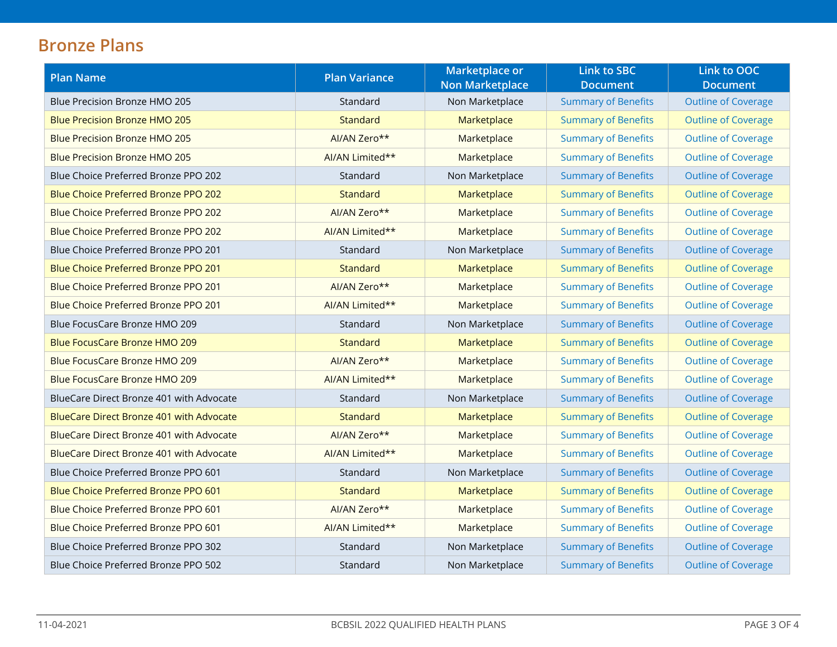# **Bronze Plans**

| <b>Plan Name</b>                                | <b>Plan Variance</b> | <b>Marketplace or</b><br><b>Non Marketplace</b> | <b>Link to SBC</b><br><b>Document</b> | Link to OOC<br><b>Document</b> |
|-------------------------------------------------|----------------------|-------------------------------------------------|---------------------------------------|--------------------------------|
| <b>Blue Precision Bronze HMO 205</b>            | Standard             | Non Marketplace                                 | <b>Summary of Benefits</b>            | <b>Outline of Coverage</b>     |
| <b>Blue Precision Bronze HMO 205</b>            | <b>Standard</b>      | Marketplace                                     | <b>Summary of Benefits</b>            | <b>Outline of Coverage</b>     |
| <b>Blue Precision Bronze HMO 205</b>            | AI/AN Zero**         | Marketplace                                     | <b>Summary of Benefits</b>            | <b>Outline of Coverage</b>     |
| <b>Blue Precision Bronze HMO 205</b>            | AI/AN Limited**      | Marketplace                                     | <b>Summary of Benefits</b>            | <b>Outline of Coverage</b>     |
| Blue Choice Preferred Bronze PPO 202            | Standard             | Non Marketplace                                 | <b>Summary of Benefits</b>            | <b>Outline of Coverage</b>     |
| Blue Choice Preferred Bronze PPO 202            | <b>Standard</b>      | Marketplace                                     | <b>Summary of Benefits</b>            | <b>Outline of Coverage</b>     |
| Blue Choice Preferred Bronze PPO 202            | AI/AN Zero**         | Marketplace                                     | <b>Summary of Benefits</b>            | <b>Outline of Coverage</b>     |
| Blue Choice Preferred Bronze PPO 202            | AI/AN Limited**      | Marketplace                                     | <b>Summary of Benefits</b>            | <b>Outline of Coverage</b>     |
| Blue Choice Preferred Bronze PPO 201            | Standard             | Non Marketplace                                 | <b>Summary of Benefits</b>            | <b>Outline of Coverage</b>     |
| Blue Choice Preferred Bronze PPO 201            | Standard             | Marketplace                                     | <b>Summary of Benefits</b>            | <b>Outline of Coverage</b>     |
| Blue Choice Preferred Bronze PPO 201            | AI/AN Zero**         | Marketplace                                     | <b>Summary of Benefits</b>            | <b>Outline of Coverage</b>     |
| Blue Choice Preferred Bronze PPO 201            | AI/AN Limited**      | Marketplace                                     | <b>Summary of Benefits</b>            | <b>Outline of Coverage</b>     |
| Blue FocusCare Bronze HMO 209                   | Standard             | Non Marketplace                                 | <b>Summary of Benefits</b>            | <b>Outline of Coverage</b>     |
| <b>Blue FocusCare Bronze HMO 209</b>            | <b>Standard</b>      | Marketplace                                     | <b>Summary of Benefits</b>            | <b>Outline of Coverage</b>     |
| Blue FocusCare Bronze HMO 209                   | AI/AN Zero**         | Marketplace                                     | <b>Summary of Benefits</b>            | <b>Outline of Coverage</b>     |
| Blue FocusCare Bronze HMO 209                   | AI/AN Limited**      | Marketplace                                     | <b>Summary of Benefits</b>            | <b>Outline of Coverage</b>     |
| BlueCare Direct Bronze 401 with Advocate        | Standard             | Non Marketplace                                 | <b>Summary of Benefits</b>            | <b>Outline of Coverage</b>     |
| <b>BlueCare Direct Bronze 401 with Advocate</b> | <b>Standard</b>      | Marketplace                                     | <b>Summary of Benefits</b>            | <b>Outline of Coverage</b>     |
| BlueCare Direct Bronze 401 with Advocate        | AI/AN Zero**         | Marketplace                                     | <b>Summary of Benefits</b>            | <b>Outline of Coverage</b>     |
| <b>BlueCare Direct Bronze 401 with Advocate</b> | AI/AN Limited**      | Marketplace                                     | <b>Summary of Benefits</b>            | <b>Outline of Coverage</b>     |
| Blue Choice Preferred Bronze PPO 601            | Standard             | Non Marketplace                                 | <b>Summary of Benefits</b>            | <b>Outline of Coverage</b>     |
| <b>Blue Choice Preferred Bronze PPO 601</b>     | <b>Standard</b>      | Marketplace                                     | <b>Summary of Benefits</b>            | <b>Outline of Coverage</b>     |
| Blue Choice Preferred Bronze PPO 601            | AI/AN Zero**         | Marketplace                                     | <b>Summary of Benefits</b>            | <b>Outline of Coverage</b>     |
| Blue Choice Preferred Bronze PPO 601            | AI/AN Limited**      | Marketplace                                     | <b>Summary of Benefits</b>            | <b>Outline of Coverage</b>     |
| Blue Choice Preferred Bronze PPO 302            | Standard             | Non Marketplace                                 | <b>Summary of Benefits</b>            | <b>Outline of Coverage</b>     |
| Blue Choice Preferred Bronze PPO 502            | Standard             | Non Marketplace                                 | <b>Summary of Benefits</b>            | <b>Outline of Coverage</b>     |